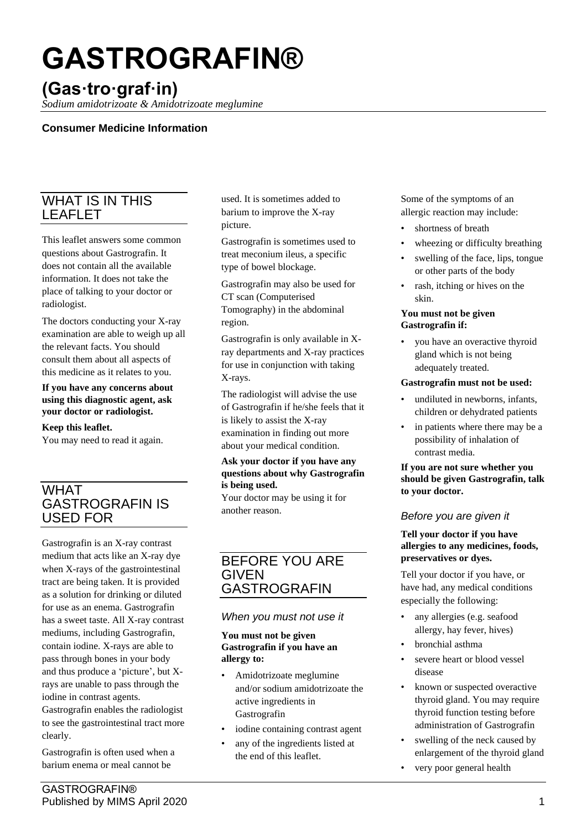# **GASTROGRAFIN®**

# **(Gas·tro·graf·in)**

*Sodium amidotrizoate & Amidotrizoate meglumine*

# **Consumer Medicine Information**

# WHAT IS IN THIS LEAFLET

This leaflet answers some common questions about Gastrografin. It does not contain all the available information. It does not take the place of talking to your doctor or radiologist.

The doctors conducting your X-ray examination are able to weigh up all the relevant facts. You should consult them about all aspects of this medicine as it relates to you.

#### **If you have any concerns about using this diagnostic agent, ask your doctor or radiologist.**

#### **Keep this leaflet.**

You may need to read it again.

# WHAT GASTROGRAFIN IS USED FOR

Gastrografin is an X-ray contrast medium that acts like an X-ray dye when X-rays of the gastrointestinal tract are being taken. It is provided as a solution for drinking or diluted for use as an enema. Gastrografin has a sweet taste. All X-ray contrast mediums, including Gastrografin, contain iodine. X-rays are able to pass through bones in your body and thus produce a 'picture', but Xrays are unable to pass through the iodine in contrast agents. Gastrografin enables the radiologist

to see the gastrointestinal tract more clearly.

Gastrografin is often used when a barium enema or meal cannot be

used. It is sometimes added to barium to improve the X-ray picture.

Gastrografin is sometimes used to treat meconium ileus, a specific type of bowel blockage.

Gastrografin may also be used for CT scan (Computerised Tomography) in the abdominal region.

Gastrografin is only available in Xray departments and X-ray practices for use in conjunction with taking X-rays.

The radiologist will advise the use of Gastrografin if he/she feels that it is likely to assist the X-ray examination in finding out more about your medical condition.

#### **Ask your doctor if you have any questions about why Gastrografin is being used.**

Your doctor may be using it for another reason.

# BEFORE YOU ARE GIVEN GASTROGRAFIN

# *When you must not use it*

#### **You must not be given Gastrografin if you have an allergy to:**

- Amidotrizoate meglumine and/or sodium amidotrizoate the active ingredients in Gastrografin
- iodine containing contrast agent
- any of the ingredients listed at the end of this leaflet.

Some of the symptoms of an allergic reaction may include:

- shortness of breath
- wheezing or difficulty breathing
- swelling of the face, lips, tongue or other parts of the body
- rash, itching or hives on the skin.

#### **You must not be given Gastrografin if:**

you have an overactive thyroid gland which is not being adequately treated.

#### **Gastrografin must not be used:**

- undiluted in newborns, infants, children or dehydrated patients
- in patients where there may be a possibility of inhalation of contrast media.

#### **If you are not sure whether you should be given Gastrografin, talk to your doctor.**

# *Before you are given it*

#### **Tell your doctor if you have allergies to any medicines, foods, preservatives or dyes.**

Tell your doctor if you have, or have had, any medical conditions especially the following:

- any allergies (e.g. seafood allergy, hay fever, hives)
- bronchial asthma
- severe heart or blood vessel disease
- known or suspected overactive thyroid gland. You may require thyroid function testing before administration of Gastrografin
- swelling of the neck caused by enlargement of the thyroid gland
- very poor general health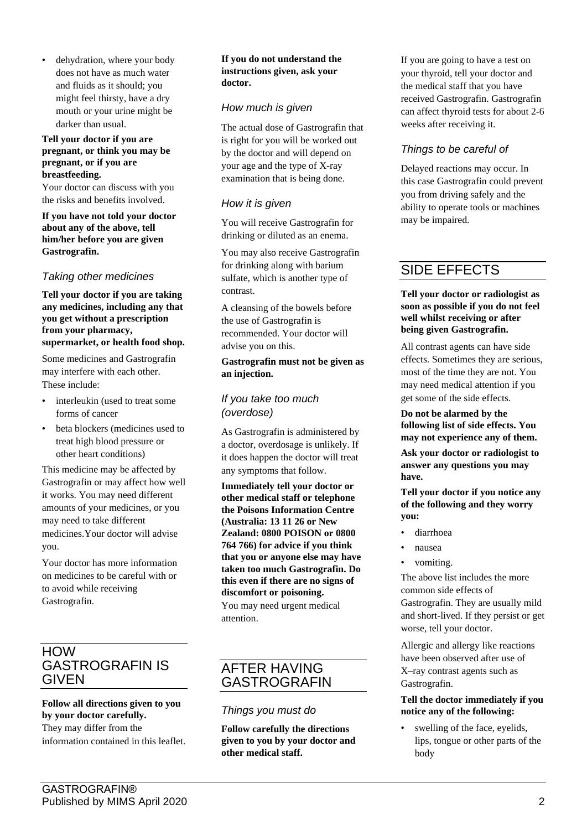dehydration, where your body does not have as much water and fluids as it should; you might feel thirsty, have a dry mouth or your urine might be darker than usual.

#### **Tell your doctor if you are pregnant, or think you may be pregnant, or if you are breastfeeding.**

Your doctor can discuss with you the risks and benefits involved.

**If you have not told your doctor about any of the above, tell him/her before you are given Gastrografin.**

#### *Taking other medicines*

**Tell your doctor if you are taking any medicines, including any that you get without a prescription from your pharmacy, supermarket, or health food shop.**

Some medicines and Gastrografin may interfere with each other. These include:

- interleukin (used to treat some forms of cancer
- beta blockers (medicines used to treat high blood pressure or other heart conditions)

This medicine may be affected by Gastrografin or may affect how well it works. You may need different amounts of your medicines, or you may need to take different medicines.Your doctor will advise you.

Your doctor has more information on medicines to be careful with or to avoid while receiving Gastrografin.

# **HOW** GASTROGRAFIN IS GIVEN

#### **Follow all directions given to you by your doctor carefully.**

They may differ from the information contained in this leaflet.

#### **If you do not understand the instructions given, ask your doctor.**

#### *How much is given*

The actual dose of Gastrografin that is right for you will be worked out by the doctor and will depend on your age and the type of X-ray examination that is being done.

#### *How it is given*

You will receive Gastrografin for drinking or diluted as an enema.

You may also receive Gastrografin for drinking along with barium sulfate, which is another type of contrast.

A cleansing of the bowels before the use of Gastrografin is recommended. Your doctor will advise you on this.

#### **Gastrografin must not be given as an injection.**

#### *If you take too much (overdose)*

As Gastrografin is administered by a doctor, overdosage is unlikely. If it does happen the doctor will treat any symptoms that follow.

**Immediately tell your doctor or other medical staff or telephone the Poisons Information Centre (Australia: 13 11 26 or New Zealand: 0800 POISON or 0800 764 766) for advice if you think that you or anyone else may have taken too much Gastrografin. Do this even if there are no signs of discomfort or poisoning.**

You may need urgent medical attention.

# AFTER HAVING GASTROGRAFIN

#### *Things you must do*

**Follow carefully the directions given to you by your doctor and other medical staff.**

If you are going to have a test on your thyroid, tell your doctor and the medical staff that you have received Gastrografin. Gastrografin can affect thyroid tests for about 2-6 weeks after receiving it.

# *Things to be careful of*

Delayed reactions may occur. In this case Gastrografin could prevent you from driving safely and the ability to operate tools or machines may be impaired.

# SIDE EFFECTS

#### **Tell your doctor or radiologist as soon as possible if you do not feel well whilst receiving or after being given Gastrografin.**

All contrast agents can have side effects. Sometimes they are serious, most of the time they are not. You may need medical attention if you get some of the side effects.

**Do not be alarmed by the following list of side effects. You may not experience any of them.**

**Ask your doctor or radiologist to answer any questions you may have.**

**Tell your doctor if you notice any of the following and they worry you:**

- diarrhoea
- nausea
- vomiting.

The above list includes the more common side effects of Gastrografin. They are usually mild and short-lived. If they persist or get worse, tell your doctor.

Allergic and allergy like reactions have been observed after use of X–ray contrast agents such as Gastrografin.

#### **Tell the doctor immediately if you notice any of the following:**

swelling of the face, eyelids, lips, tongue or other parts of the body